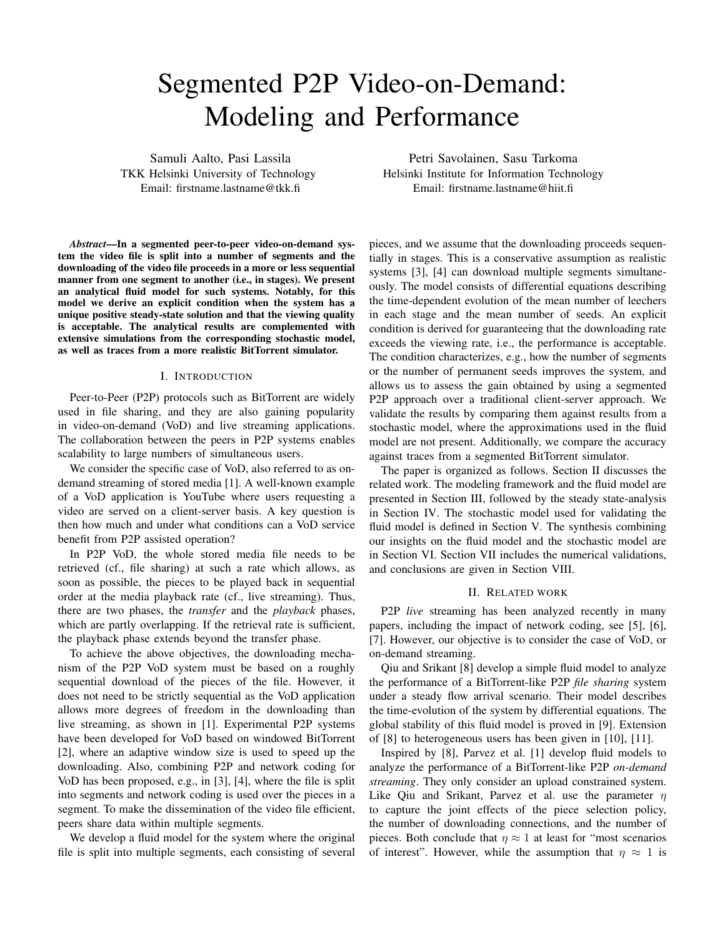# Segmented P2P Video-on-Demand: Modeling and Performance

Samuli Aalto, Pasi Lassila TKK Helsinki University of Technology Email: firstname.lastname@tkk.fi

*Abstract*—In a segmented peer-to-peer video-on-demand system the video file is split into a number of segments and the downloading of the video file proceeds in a more or less sequential manner from one segment to another (i.e., in stages). We present an analytical fluid model for such systems. Notably, for this model we derive an explicit condition when the system has a unique positive steady-state solution and that the viewing quality is acceptable. The analytical results are complemented with extensive simulations from the corresponding stochastic model, as well as traces from a more realistic BitTorrent simulator.

#### I. INTRODUCTION

Peer-to-Peer (P2P) protocols such as BitTorrent are widely used in file sharing, and they are also gaining popularity in video-on-demand (VoD) and live streaming applications. The collaboration between the peers in P2P systems enables scalability to large numbers of simultaneous users.

We consider the specific case of VoD, also referred to as ondemand streaming of stored media [1]. A well-known example of a VoD application is YouTube where users requesting a video are served on a client-server basis. A key question is then how much and under what conditions can a VoD service benefit from P2P assisted operation?

In P2P VoD, the whole stored media file needs to be retrieved (cf., file sharing) at such a rate which allows, as soon as possible, the pieces to be played back in sequential order at the media playback rate (cf., live streaming). Thus, there are two phases, the *transfer* and the *playback* phases, which are partly overlapping. If the retrieval rate is sufficient, the playback phase extends beyond the transfer phase.

To achieve the above objectives, the downloading mechanism of the P2P VoD system must be based on a roughly sequential download of the pieces of the file. However, it does not need to be strictly sequential as the VoD application allows more degrees of freedom in the downloading than live streaming, as shown in [1]. Experimental P2P systems have been developed for VoD based on windowed BitTorrent [2], where an adaptive window size is used to speed up the downloading. Also, combining P2P and network coding for VoD has been proposed, e.g., in [3], [4], where the file is split into segments and network coding is used over the pieces in a segment. To make the dissemination of the video file efficient, peers share data within multiple segments.

We develop a fluid model for the system where the original file is split into multiple segments, each consisting of several

Petri Savolainen, Sasu Tarkoma Helsinki Institute for Information Technology Email: firstname.lastname@hiit.fi

pieces, and we assume that the downloading proceeds sequentially in stages. This is a conservative assumption as realistic systems [3], [4] can download multiple segments simultaneously. The model consists of differential equations describing the time-dependent evolution of the mean number of leechers in each stage and the mean number of seeds. An explicit condition is derived for guaranteeing that the downloading rate exceeds the viewing rate, i.e., the performance is acceptable. The condition characterizes, e.g., how the number of segments or the number of permanent seeds improves the system, and allows us to assess the gain obtained by using a segmented P2P approach over a traditional client-server approach. We validate the results by comparing them against results from a stochastic model, where the approximations used in the fluid model are not present. Additionally, we compare the accuracy against traces from a segmented BitTorrent simulator.

The paper is organized as follows. Section II discusses the related work. The modeling framework and the fluid model are presented in Section III, followed by the steady state-analysis in Section IV. The stochastic model used for validating the fluid model is defined in Section V. The synthesis combining our insights on the fluid model and the stochastic model are in Section VI. Section VII includes the numerical validations, and conclusions are given in Section VIII.

#### II. RELATED WORK

P2P *live* streaming has been analyzed recently in many papers, including the impact of network coding, see [5], [6], [7]. However, our objective is to consider the case of VoD, or on-demand streaming.

Qiu and Srikant [8] develop a simple fluid model to analyze the performance of a BitTorrent-like P2P *file sharing* system under a steady flow arrival scenario. Their model describes the time-evolution of the system by differential equations. The global stability of this fluid model is proved in [9]. Extension of [8] to heterogeneous users has been given in [10], [11].

Inspired by [8], Parvez et al. [1] develop fluid models to analyze the performance of a BitTorrent-like P2P *on-demand streaming*. They only consider an upload constrained system. Like Qiu and Srikant, Parvez et al. use the parameter *η* to capture the joint effects of the piece selection policy, the number of downloading connections, and the number of pieces. Both conclude that  $\eta \approx 1$  at least for "most scenarios" of interest". However, while the assumption that  $\eta \approx 1$  is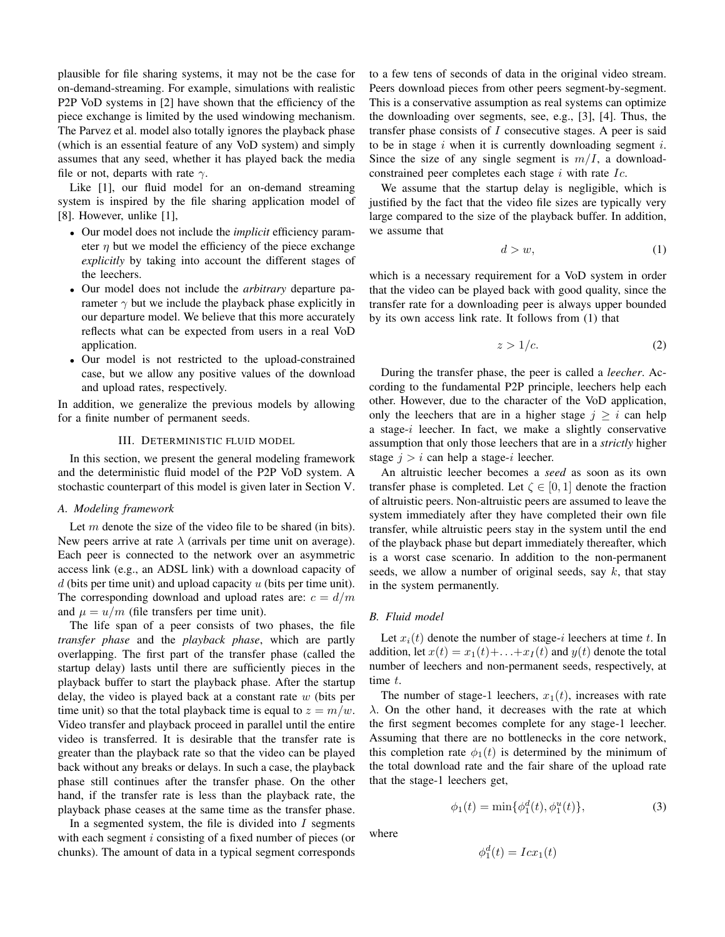plausible for file sharing systems, it may not be the case for on-demand-streaming. For example, simulations with realistic P2P VoD systems in [2] have shown that the efficiency of the piece exchange is limited by the used windowing mechanism. The Parvez et al. model also totally ignores the playback phase (which is an essential feature of any VoD system) and simply assumes that any seed, whether it has played back the media file or not, departs with rate *γ*.

Like [1], our fluid model for an on-demand streaming system is inspired by the file sharing application model of [8]. However, unlike [1],

- *•* Our model does not include the *implicit* efficiency parameter  $\eta$  but we model the efficiency of the piece exchange *explicitly* by taking into account the different stages of the leechers.
- *•* Our model does not include the *arbitrary* departure parameter  $\gamma$  but we include the playback phase explicitly in our departure model. We believe that this more accurately reflects what can be expected from users in a real VoD application.
- *•* Our model is not restricted to the upload-constrained case, but we allow any positive values of the download and upload rates, respectively.

In addition, we generalize the previous models by allowing for a finite number of permanent seeds.

#### III. DETERMINISTIC FLUID MODEL

In this section, we present the general modeling framework and the deterministic fluid model of the P2P VoD system. A stochastic counterpart of this model is given later in Section V.

### *A. Modeling framework*

Let *m* denote the size of the video file to be shared (in bits). New peers arrive at rate  $\lambda$  (arrivals per time unit on average). Each peer is connected to the network over an asymmetric access link (e.g., an ADSL link) with a download capacity of *d* (bits per time unit) and upload capacity *u* (bits per time unit). The corresponding download and upload rates are:  $c = d/m$ and  $\mu = u/m$  (file transfers per time unit).

The life span of a peer consists of two phases, the file *transfer phase* and the *playback phase*, which are partly overlapping. The first part of the transfer phase (called the startup delay) lasts until there are sufficiently pieces in the playback buffer to start the playback phase. After the startup delay, the video is played back at a constant rate *w* (bits per time unit) so that the total playback time is equal to  $z = m/w$ . Video transfer and playback proceed in parallel until the entire video is transferred. It is desirable that the transfer rate is greater than the playback rate so that the video can be played back without any breaks or delays. In such a case, the playback phase still continues after the transfer phase. On the other hand, if the transfer rate is less than the playback rate, the playback phase ceases at the same time as the transfer phase.

In a segmented system, the file is divided into *I* segments with each segment *i* consisting of a fixed number of pieces (or chunks). The amount of data in a typical segment corresponds to a few tens of seconds of data in the original video stream. Peers download pieces from other peers segment-by-segment. This is a conservative assumption as real systems can optimize the downloading over segments, see, e.g., [3], [4]. Thus, the transfer phase consists of *I* consecutive stages. A peer is said to be in stage *i* when it is currently downloading segment *i*. Since the size of any single segment is  $m/I$ , a downloadconstrained peer completes each stage *i* with rate *Ic*.

We assume that the startup delay is negligible, which is justified by the fact that the video file sizes are typically very large compared to the size of the playback buffer. In addition, we assume that

$$
d > w,\tag{1}
$$

which is a necessary requirement for a VoD system in order that the video can be played back with good quality, since the transfer rate for a downloading peer is always upper bounded by its own access link rate. It follows from (1) that

$$
z > 1/c.
$$
 (2)

During the transfer phase, the peer is called a *leecher*. According to the fundamental P2P principle, leechers help each other. However, due to the character of the VoD application, only the leechers that are in a higher stage  $j \geq i$  can help a stage-*i* leecher. In fact, we make a slightly conservative assumption that only those leechers that are in a *strictly* higher stage  $j > i$  can help a stage-*i* leecher.

An altruistic leecher becomes a *seed* as soon as its own transfer phase is completed. Let  $\zeta \in [0, 1]$  denote the fraction of altruistic peers. Non-altruistic peers are assumed to leave the system immediately after they have completed their own file transfer, while altruistic peers stay in the system until the end of the playback phase but depart immediately thereafter, which is a worst case scenario. In addition to the non-permanent seeds, we allow a number of original seeds, say *k*, that stay in the system permanently.

# *B. Fluid model*

Let  $x_i(t)$  denote the number of stage-*i* leechers at time *t*. In addition, let  $x(t) = x_1(t) + \ldots + x_I(t)$  and  $y(t)$  denote the total number of leechers and non-permanent seeds, respectively, at time *t*.

The number of stage-1 leechers,  $x_1(t)$ , increases with rate *λ*. On the other hand, it decreases with the rate at which the first segment becomes complete for any stage-1 leecher. Assuming that there are no bottlenecks in the core network, this completion rate  $\phi_1(t)$  is determined by the minimum of the total download rate and the fair share of the upload rate that the stage-1 leechers get,

$$
\phi_1(t) = \min\{\phi_1^d(t), \phi_1^u(t)\},\tag{3}
$$

where

$$
\phi_1^d(t) = Icx_1(t)
$$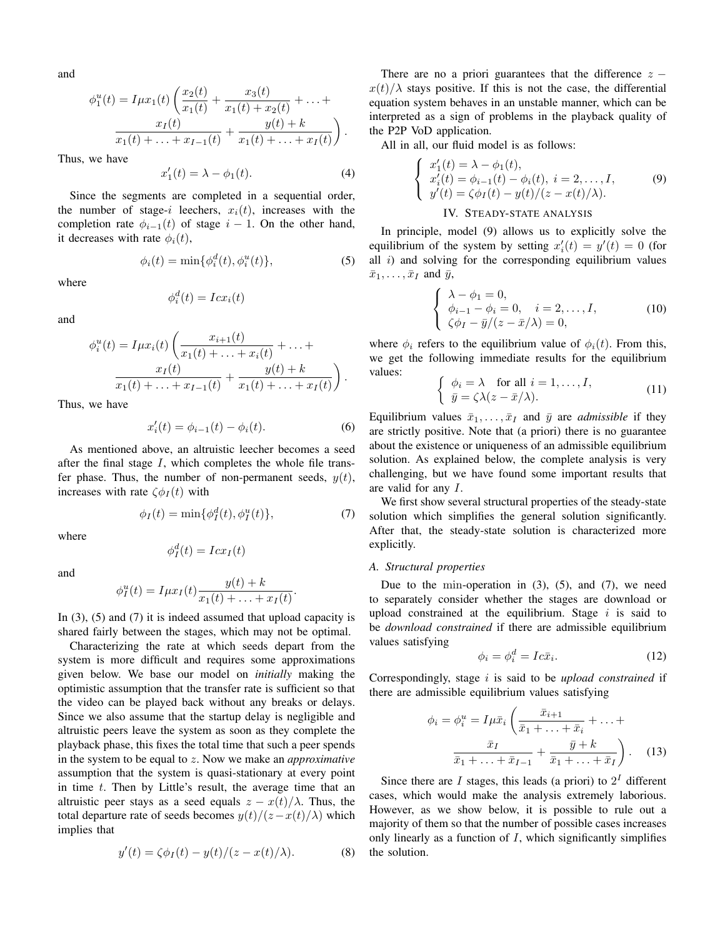and

$$
\phi_1^u(t) = I\mu x_1(t) \left( \frac{x_2(t)}{x_1(t)} + \frac{x_3(t)}{x_1(t) + x_2(t)} + \dots + \frac{x_I(t)}{x_1(t) + \dots + x_{I-1}(t)} + \frac{y(t) + k}{x_1(t) + \dots + x_I(t)} \right).
$$

Thus, we have

$$
x_1'(t) = \lambda - \phi_1(t). \tag{4}
$$

Since the segments are completed in a sequential order, the number of stage-*i* leechers,  $x_i(t)$ , increases with the completion rate  $\phi_{i-1}(t)$  of stage  $i-1$ . On the other hand, it decreases with rate  $\phi_i(t)$ ,

$$
\phi_i(t) = \min\{\phi_i^d(t), \phi_i^u(t)\},\tag{5}
$$

where

$$
\phi_i^d(t) = Icx_i(t)
$$

and

$$
\phi_i^u(t) = I\mu x_i(t) \left( \frac{x_{i+1}(t)}{x_1(t) + \ldots + x_i(t)} + \ldots + \frac{x_I(t)}{x_1(t) + \ldots + x_{I-1}(t)} + \frac{y(t) + k}{x_1(t) + \ldots + x_I(t)} \right).
$$

Thus, we have

$$
x'_{i}(t) = \phi_{i-1}(t) - \phi_{i}(t).
$$
 (6)

As mentioned above, an altruistic leecher becomes a seed after the final stage *I*, which completes the whole file transfer phase. Thus, the number of non-permanent seeds,  $y(t)$ , increases with rate  $\zeta \phi_I(t)$  with

$$
\phi_I(t) = \min\{\phi_I^d(t), \phi_I^u(t)\},\tag{7}
$$

*.*

where

$$
\phi_I^d(t) = I c x_I(t)
$$

and

$$
\phi_I^u(t) = I\mu x_I(t) \frac{y(t) + k}{x_1(t) + \ldots + x_I(t)}
$$

In  $(3)$ ,  $(5)$  and  $(7)$  it is indeed assumed that upload capacity is shared fairly between the stages, which may not be optimal.

Characterizing the rate at which seeds depart from the system is more difficult and requires some approximations given below. We base our model on *initially* making the optimistic assumption that the transfer rate is sufficient so that the video can be played back without any breaks or delays. Since we also assume that the startup delay is negligible and altruistic peers leave the system as soon as they complete the playback phase, this fixes the total time that such a peer spends in the system to be equal to *z*. Now we make an *approximative* assumption that the system is quasi-stationary at every point in time *t*. Then by Little's result, the average time that an altruistic peer stays as a seed equals  $z - x(t)/\lambda$ . Thus, the total departure rate of seeds becomes  $y(t)/(z-x(t)/\lambda)$  which implies that

$$
y'(t) = \zeta \phi_I(t) - y(t)/(z - x(t)/\lambda). \tag{8}
$$

There are no a priori guarantees that the difference *z −*  $x(t)/\lambda$  stays positive. If this is not the case, the differential equation system behaves in an unstable manner, which can be interpreted as a sign of problems in the playback quality of the P2P VoD application.

All in all, our fluid model is as follows:

$$
\begin{cases}\nx'_1(t) = \lambda - \phi_1(t), \\
x'_i(t) = \phi_{i-1}(t) - \phi_i(t), \ i = 2, \dots, I, \\
y'(t) = \zeta \phi_I(t) - y(t)/(z - x(t)/\lambda).\n\end{cases}
$$
\n(9)

## IV. STEADY-STATE ANALYSIS

In principle, model (9) allows us to explicitly solve the equilibrium of the system by setting  $x_i'(t) = y'(t) = 0$  (for all *i*) and solving for the corresponding equilibrium values  $\bar{x}_1, \ldots, \bar{x}_I$  and  $\bar{y}$ ,

$$
\begin{cases}\n\lambda - \phi_1 = 0, \\
\phi_{i-1} - \phi_i = 0, \quad i = 2, ..., I, \\
\zeta \phi_I - \bar{y}/(z - \bar{x}/\lambda) = 0,\n\end{cases}
$$
\n(10)

where  $\phi_i$  refers to the equilibrium value of  $\phi_i(t)$ . From this, we get the following immediate results for the equilibrium values:

$$
\begin{cases} \phi_i = \lambda \quad \text{for all } i = 1, \dots, I, \\ \bar{y} = \zeta \lambda (z - \bar{x}/\lambda). \end{cases}
$$
 (11)

Equilibrium values  $\bar{x}_1, \ldots, \bar{x}_I$  and  $\bar{y}$  are *admissible* if they are strictly positive. Note that (a priori) there is no guarantee about the existence or uniqueness of an admissible equilibrium solution. As explained below, the complete analysis is very challenging, but we have found some important results that are valid for any *I*.

We first show several structural properties of the steady-state solution which simplifies the general solution significantly. After that, the steady-state solution is characterized more explicitly.

### *A. Structural properties*

Due to the min-operation in  $(3)$ ,  $(5)$ , and  $(7)$ , we need to separately consider whether the stages are download or upload constrained at the equilibrium. Stage *i* is said to be *download constrained* if there are admissible equilibrium values satisfying

$$
\phi_i = \phi_i^d = Ic\bar{x}_i. \tag{12}
$$

Correspondingly, stage *i* is said to be *upload constrained* if there are admissible equilibrium values satisfying

$$
\phi_i = \phi_i^u = I\mu \bar{x}_i \left( \frac{\bar{x}_{i+1}}{\bar{x}_1 + \ldots + \bar{x}_i} + \ldots + \frac{\bar{x}_I}{\bar{x}_1 + \ldots + \bar{x}_{I-1}} + \frac{\bar{y} + k}{\bar{x}_1 + \ldots + \bar{x}_I} \right). \tag{13}
$$

Since there are  $I$  stages, this leads (a priori) to  $2^I$  different cases, which would make the analysis extremely laborious. However, as we show below, it is possible to rule out a majority of them so that the number of possible cases increases only linearly as a function of *I*, which significantly simplifies the solution.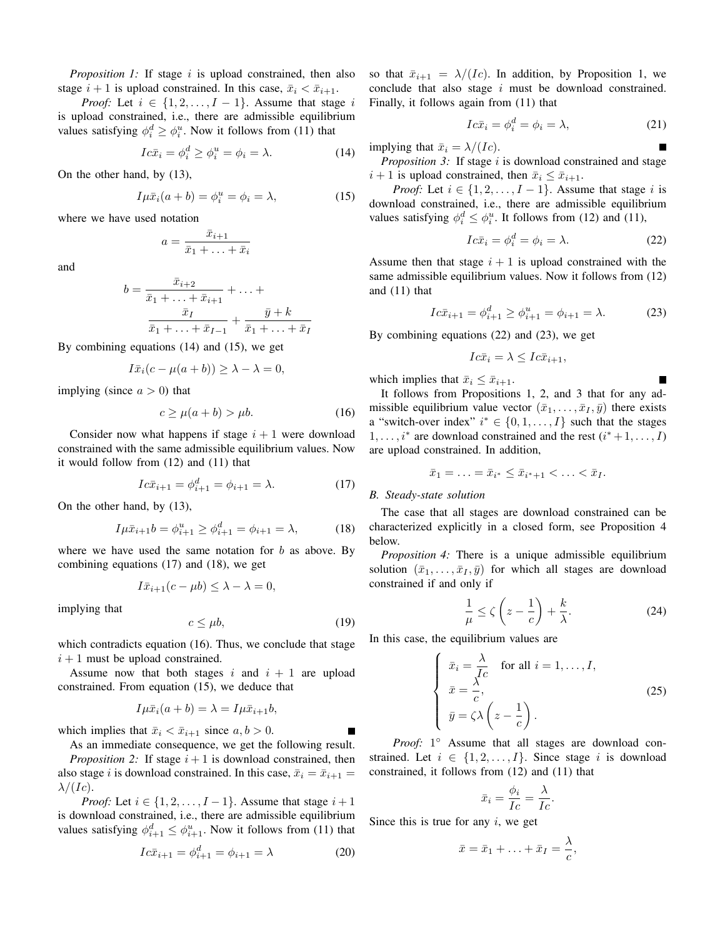*Proposition 1:* If stage *i* is upload constrained, then also stage  $i + 1$  is upload constrained. In this case,  $\bar{x}_i < \bar{x}_{i+1}$ .

*Proof:* Let  $i \in \{1, 2, \ldots, I-1\}$ . Assume that stage *i* is upload constrained, i.e., there are admissible equilibrium values satisfying  $\phi_i^d \geq \phi_i^u$ . Now it follows from (11) that

$$
Ic\bar{x}_i = \phi_i^d \ge \phi_i^u = \phi_i = \lambda. \tag{14}
$$

On the other hand, by (13),

$$
I\mu \bar{x}_i(a+b) = \phi_i^u = \phi_i = \lambda,\tag{15}
$$

where we have used notation

$$
a = \frac{\bar{x}_{i+1}}{\bar{x}_1 + \ldots + \bar{x}_i}
$$

and

$$
b = \frac{\bar{x}_{i+2}}{\bar{x}_1 + \dots + \bar{x}_{i+1}} + \dots + \frac{\bar{x}_I}{\bar{x}_1 + \dots + \bar{x}_{I-1}} + \frac{\bar{y} + k}{\bar{x}_1 + \dots + \bar{x}_I}
$$

By combining equations (14) and (15), we get

$$
I\bar{x}_i(c - \mu(a+b)) \ge \lambda - \lambda = 0,
$$

implying (since  $a > 0$ ) that

$$
c \ge \mu(a+b) > \mu b. \tag{16}
$$

Consider now what happens if stage  $i + 1$  were download constrained with the same admissible equilibrium values. Now it would follow from (12) and (11) that

$$
Ic\bar{x}_{i+1} = \phi_{i+1}^d = \phi_{i+1} = \lambda.
$$
 (17)

On the other hand, by (13),

$$
I\mu \bar{x}_{i+1}b = \phi_{i+1}^u \ge \phi_{i+1}^d = \phi_{i+1} = \lambda,\tag{18}
$$

where we have used the same notation for *b* as above. By combining equations (17) and (18), we get

$$
I\bar{x}_{i+1}(c - \mu b) \le \lambda - \lambda = 0,
$$

implying that

$$
c \le \mu b,\tag{19}
$$

which contradicts equation (16). Thus, we conclude that stage  $i + 1$  must be upload constrained.

Assume now that both stages  $i$  and  $i + 1$  are upload constrained. From equation (15), we deduce that

$$
I\mu \bar{x}_i(a+b) = \lambda = I\mu \bar{x}_{i+1}b,
$$

which implies that  $\bar{x}_i < \bar{x}_{i+1}$  since  $a, b > 0$ .

As an immediate consequence, we get the following result.

*Proposition 2:* If stage  $i + 1$  is download constrained, then also stage *i* is download constrained. In this case,  $\bar{x}_i = \bar{x}_{i+1} =$ *λ/*(*Ic*).

*Proof:* Let  $i \in \{1, 2, \ldots, I-1\}$ . Assume that stage  $i+1$ is download constrained, i.e., there are admissible equilibrium values satisfying  $\phi_{i+1}^d \leq \phi_{i+1}^u$ . Now it follows from (11) that

$$
Ic\bar{x}_{i+1} = \phi_{i+1}^d = \phi_{i+1} = \lambda
$$
 (20)

so that  $\bar{x}_{i+1} = \lambda/(I_c)$ . In addition, by Proposition 1, we conclude that also stage *i* must be download constrained. Finally, it follows again from (11) that

$$
Ic\bar{x}_i = \phi_i^d = \phi_i = \lambda,\tag{21}
$$

implying that  $\bar{x}_i = \lambda / (I_c)$ .

*Proposition 3:* If stage *i* is download constrained and stage  $i + 1$  is upload constrained, then  $\bar{x}_i \leq \bar{x}_{i+1}$ .

*Proof:* Let  $i \in \{1, 2, \ldots, I - 1\}$ . Assume that stage *i* is download constrained, i.e., there are admissible equilibrium values satisfying  $\phi_i^d \leq \phi_i^u$ . It follows from (12) and (11),

$$
Ic\bar{x}_i = \phi_i^d = \phi_i = \lambda.
$$
 (22)

Assume then that stage  $i + 1$  is upload constrained with the same admissible equilibrium values. Now it follows from (12) and (11) that

$$
Ic\bar{x}_{i+1} = \phi_{i+1}^d \ge \phi_{i+1}^u = \phi_{i+1} = \lambda.
$$
 (23)

By combining equations (22) and (23), we get

$$
Ic\bar{x}_i = \lambda \leq Ic\bar{x}_{i+1},
$$

which implies that  $\bar{x}_i \leq \bar{x}_{i+1}$ .

It follows from Propositions 1, 2, and 3 that for any admissible equilibrium value vector  $(\bar{x}_1, \ldots, \bar{x}_I, \bar{y})$  there exists a "switch-over index"  $i^* \in \{0, 1, \ldots, I\}$  such that the stages 1, ...,  $i^*$  are download constrained and the rest  $(i^*+1, \ldots, I)$ are upload constrained. In addition,

$$
\bar{x}_1 = \ldots = \bar{x}_{i^*} \le \bar{x}_{i^*+1} < \ldots < \bar{x}_I.
$$

#### *B. Steady-state solution*

The case that all stages are download constrained can be characterized explicitly in a closed form, see Proposition 4 below.

*Proposition 4:* There is a unique admissible equilibrium solution  $(\bar{x}_1, \ldots, \bar{x}_I, \bar{y})$  for which all stages are download constrained if and only if

$$
\frac{1}{\mu} \le \zeta \left( z - \frac{1}{c} \right) + \frac{k}{\lambda}.\tag{24}
$$

In this case, the equilibrium values are

$$
\begin{cases}\n\bar{x}_i = \frac{\lambda}{Ic} & \text{for all } i = 1, ..., I, \\
\bar{x} = \frac{\lambda}{c}, \\
\bar{y} = \zeta \lambda \left(z - \frac{1}{c}\right).\n\end{cases}
$$
\n(25)

*Proof:* 1<sup>°</sup> Assume that all stages are download constrained. Let  $i \in \{1, 2, \ldots, I\}$ . Since stage *i* is download constrained, it follows from (12) and (11) that

$$
\bar{x}_i = \frac{\phi_i}{Ic} = \frac{\lambda}{Ic}.
$$

Since this is true for any *i*, we get

$$
\bar{x} = \bar{x}_1 + \ldots + \bar{x}_I = \frac{\lambda}{c},
$$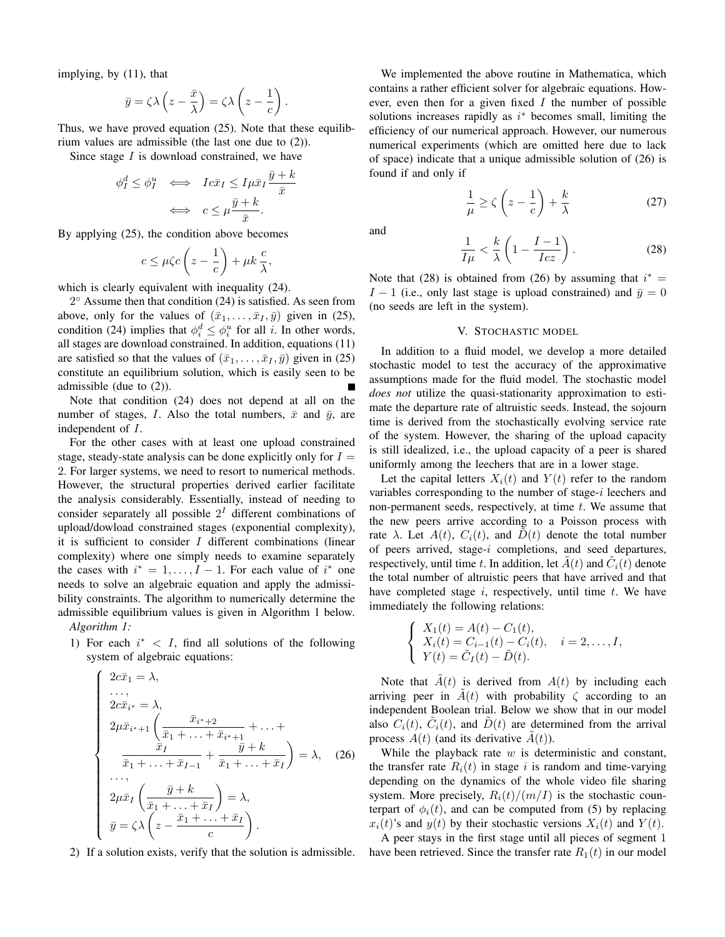implying, by (11), that

$$
\bar{y} = \zeta \lambda \left( z - \frac{\bar{x}}{\lambda} \right) = \zeta \lambda \left( z - \frac{1}{c} \right).
$$

Thus, we have proved equation (25). Note that these equilibrium values are admissible (the last one due to (2)).

Since stage *I* is download constrained, we have

$$
\begin{array}{rcl}\n\phi_I^d \le \phi_I^u & \Longleftrightarrow & Ic\bar{x}_I \le I\mu\bar{x}_I \frac{\bar{y} + k}{\bar{x}} \\
& \Longleftrightarrow & c \le \mu \frac{\bar{y} + k}{\bar{x}}.\n\end{array}
$$

By applying (25), the condition above becomes

$$
c \leq \mu \zeta c \left(z - \frac{1}{c}\right) + \mu k \frac{c}{\lambda},
$$

which is clearly equivalent with inequality  $(24)$ .

2 *◦* Assume then that condition (24) is satisfied. As seen from above, only for the values of  $(\bar{x}_1, \ldots, \bar{x}_I, \bar{y})$  given in (25), condition (24) implies that  $\phi_i^d \leq \phi_i^u$  for all *i*. In other words, all stages are download constrained. In addition, equations (11) are satisfied so that the values of  $(\bar{x}_1, \ldots, \bar{x}_I, \bar{y})$  given in (25) constitute an equilibrium solution, which is easily seen to be admissible (due to (2)).

Note that condition (24) does not depend at all on the number of stages, *I*. Also the total numbers,  $\bar{x}$  and  $\bar{y}$ , are independent of *I*.

For the other cases with at least one upload constrained stage, steady-state analysis can be done explicitly only for  $I =$ 2. For larger systems, we need to resort to numerical methods. However, the structural properties derived earlier facilitate the analysis considerably. Essentially, instead of needing to consider separately all possible  $2<sup>I</sup>$  different combinations of upload/dowload constrained stages (exponential complexity), it is sufficient to consider *I* different combinations (linear complexity) where one simply needs to examine separately the cases with  $i^* = 1, \ldots, I - 1$ . For each value of  $i^*$  one needs to solve an algebraic equation and apply the admissibility constraints. The algorithm to numerically determine the admissible equilibrium values is given in Algorithm 1 below. *Algorithm 1:*

1) For each *i <sup>∗</sup> < I*, find all solutions of the following system of algebraic equations:

$$
\begin{cases}\n2c\bar{x}_1 = \lambda, \\
\cdots, \\
2c\bar{x}_{i^*} = \lambda, \\
2\mu\bar{x}_{i^*+1}\left(\frac{\bar{x}_{i^*+2}}{\bar{x}_1 + \ldots + \bar{x}_{i^*+1}} + \ldots + \frac{\bar{x}_I}{\bar{x}_I + \ldots + \bar{x}_I}\right) = \lambda, \quad (26) \\
\cdots, \\
2\mu\bar{x}_I\left(\frac{\bar{y} + k}{\bar{x}_1 + \ldots + \bar{x}_I}\right) = \lambda, \\
\vdots \\
\bar{y} = \zeta \lambda \left(z - \frac{\bar{x}_1 + \ldots + \bar{x}_I}{c}\right).\n\end{cases}
$$

2) If a solution exists, verify that the solution is admissible.

We implemented the above routine in Mathematica, which contains a rather efficient solver for algebraic equations. However, even then for a given fixed *I* the number of possible solutions increases rapidly as *i <sup>∗</sup>* becomes small, limiting the efficiency of our numerical approach. However, our numerous numerical experiments (which are omitted here due to lack of space) indicate that a unique admissible solution of (26) is found if and only if

$$
\frac{1}{\mu} \ge \zeta \left(z - \frac{1}{c}\right) + \frac{k}{\lambda} \tag{27}
$$

and

$$
\frac{1}{I\mu} < \frac{k}{\lambda} \left( 1 - \frac{I - 1}{Icz} \right). \tag{28}
$$

Note that (28) is obtained from (26) by assuming that  $i^* =$ *I* − 1 (i.e., only last stage is upload constrained) and  $\bar{y} = 0$ (no seeds are left in the system).

## V. STOCHASTIC MODEL

In addition to a fluid model, we develop a more detailed stochastic model to test the accuracy of the approximative assumptions made for the fluid model. The stochastic model *does not* utilize the quasi-stationarity approximation to estimate the departure rate of altruistic seeds. Instead, the sojourn time is derived from the stochastically evolving service rate of the system. However, the sharing of the upload capacity is still idealized, i.e., the upload capacity of a peer is shared uniformly among the leechers that are in a lower stage.

Let the capital letters  $X_i(t)$  and  $Y(t)$  refer to the random variables corresponding to the number of stage-*i* leechers and non-permanent seeds, respectively, at time *t*. We assume that the new peers arrive according to a Poisson process with rate  $\lambda$ . Let  $A(t)$ ,  $C_i(t)$ , and  $D(t)$  denote the total number of peers arrived, stage-*i* completions, and seed departures, respectively, until time *t*. In addition, let  $\tilde{A}(t)$  and  $\tilde{C}_i(\tilde{t})$  denote the total number of altruistic peers that have arrived and that have completed stage *i*, respectively, until time *t*. We have immediately the following relations:

$$
\begin{cases}\nX_1(t) = A(t) - C_1(t), \\
X_i(t) = C_{i-1}(t) - C_i(t), \quad i = 2, ..., I, \\
Y(t) = \tilde{C}_I(t) - \tilde{D}(t).\n\end{cases}
$$

Note that  $\tilde{A}(t)$  is derived from  $A(t)$  by including each arriving peer in  $A(t)$  with probability  $\zeta$  according to an independent Boolean trial. Below we show that in our model also  $C_i(t)$ ,  $\tilde{C}_i(t)$ , and  $\tilde{D}(t)$  are determined from the arrival process  $A(t)$  (and its derivative  $\tilde{A}(t)$ ).

While the playback rate *w* is deterministic and constant, the transfer rate  $R_i(t)$  in stage *i* is random and time-varying depending on the dynamics of the whole video file sharing system. More precisely,  $R_i(t)/(m/I)$  is the stochastic counterpart of  $\phi_i(t)$ , and can be computed from (5) by replacing  $x_i(t)$ 's and  $y(t)$  by their stochastic versions  $X_i(t)$  and  $Y(t)$ .

A peer stays in the first stage until all pieces of segment 1 have been retrieved. Since the transfer rate  $R_1(t)$  in our model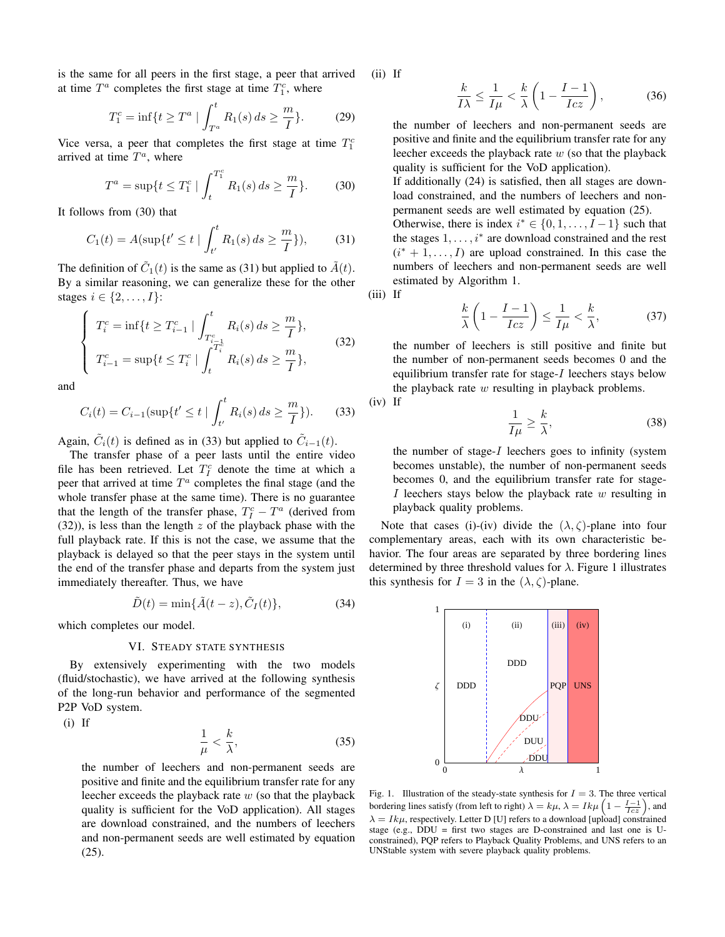is the same for all peers in the first stage, a peer that arrived at time  $T^a$  completes the first stage at time  $T_1^c$ , where

$$
T_1^c = \inf\{t \ge T^a \mid \int_{T^a}^t R_1(s) \, ds \ge \frac{m}{I}\}.
$$
 (29)

Vice versa, a peer that completes the first stage at time  $T_1^c$ arrived at time  $T^a$ , where

$$
T^{a} = \sup\{t \leq T_{1}^{c} \mid \int_{t}^{T_{1}^{c}} R_{1}(s) ds \geq \frac{m}{I}\}.
$$
 (30)

It follows from (30) that

$$
C_1(t) = A(\sup\{t' \le t \mid \int_{t'}^t R_1(s) ds \ge \frac{m}{I}\}),\tag{31}
$$

The definition of  $\tilde{C}_1(t)$  is the same as (31) but applied to  $\tilde{A}(t)$ . By a similar reasoning, we can generalize these for the other stages  $i \in \{2, ..., I\}$ :

$$
\begin{cases}\nT_i^c = \inf\{t \ge T_{i-1}^c \mid \int_{T_{i-1}^c}^t R_i(s) ds \ge \frac{m}{I}\}, \\
T_{i-1}^c = \sup\{t \le T_i^c \mid \int_t^{T_i^c} R_i(s) ds \ge \frac{m}{I}\},\n\end{cases}
$$
\n(32)

and

$$
C_i(t) = C_{i-1}(\sup\{t' \le t \mid \int_{t'}^t R_i(s) ds \ge \frac{m}{I}\}).
$$
 (33)

Again,  $\tilde{C}_i(t)$  is defined as in (33) but applied to  $\tilde{C}_{i-1}(t)$ .

The transfer phase of a peer lasts until the entire video file has been retrieved. Let  $T_I^c$  denote the time at which a peer that arrived at time  $T^a$  completes the final stage (and the whole transfer phase at the same time). There is no guarantee that the length of the transfer phase,  $T_I^c - T^a$  (derived from (32)), is less than the length *z* of the playback phase with the full playback rate. If this is not the case, we assume that the playback is delayed so that the peer stays in the system until the end of the transfer phase and departs from the system just immediately thereafter. Thus, we have

$$
\tilde{D}(t) = \min\{\tilde{A}(t-z), \tilde{C}_I(t)\},\tag{34}
$$

which completes our model.

#### VI. STEADY STATE SYNTHESIS

By extensively experimenting with the two models (fluid/stochastic), we have arrived at the following synthesis of the long-run behavior and performance of the segmented P2P VoD system.

(i) If

$$
\frac{1}{\mu} < \frac{k}{\lambda},\tag{35}
$$

the number of leechers and non-permanent seeds are positive and finite and the equilibrium transfer rate for any leecher exceeds the playback rate *w* (so that the playback quality is sufficient for the VoD application). All stages are download constrained, and the numbers of leechers and non-permanent seeds are well estimated by equation (25).

(ii) If

$$
\frac{k}{I\lambda} \le \frac{1}{I\mu} < \frac{k}{\lambda} \left( 1 - \frac{I - 1}{Icz} \right),\tag{36}
$$

the number of leechers and non-permanent seeds are positive and finite and the equilibrium transfer rate for any leecher exceeds the playback rate *w* (so that the playback quality is sufficient for the VoD application).

If additionally (24) is satisfied, then all stages are download constrained, and the numbers of leechers and nonpermanent seeds are well estimated by equation (25). Otherwise, there is index  $i^* \in \{0, 1, \ldots, I-1\}$  such that the stages 1*, . . . , i<sup>∗</sup>* are download constrained and the rest  $(i^* + 1, \ldots, I)$  are upload constrained. In this case the numbers of leechers and non-permanent seeds are well

$$
(iii) If
$$

estimated by Algorithm 1.

$$
\frac{k}{\lambda} \left( 1 - \frac{I - 1}{Icz} \right) \le \frac{1}{I\mu} < \frac{k}{\lambda},\tag{37}
$$

the number of leechers is still positive and finite but the number of non-permanent seeds becomes 0 and the equilibrium transfer rate for stage-*I* leechers stays below the playback rate *w* resulting in playback problems. (iv) If

$$
\frac{1}{I\mu} \ge \frac{k}{\lambda},\tag{38}
$$

the number of stage-*I* leechers goes to infinity (system becomes unstable), the number of non-permanent seeds becomes 0, and the equilibrium transfer rate for stage-*I* leechers stays below the playback rate *w* resulting in playback quality problems.

Note that cases (i)-(iv) divide the  $(\lambda, \zeta)$ -plane into four complementary areas, each with its own characteristic behavior. The four areas are separated by three bordering lines determined by three threshold values for  $\lambda$ . Figure 1 illustrates this synthesis for  $I = 3$  in the  $(\lambda, \zeta)$ -plane.



Fig. 1. Illustration of the steady-state synthesis for  $I = 3$ . The three vertical bordering lines satisfy (from left to right)  $\lambda = k\mu$ ,  $\lambda = Ik\mu \left(1 - \frac{I-1}{Icz}\right)$ , and  $\lambda = I k \mu$ , respectively. Letter D [U] refers to a download [upload] constrained stage (e.g.,  $DDU =$  first two stages are D-constrained and last one is Uconstrained), PQP refers to Playback Quality Problems, and UNS refers to an UNStable system with severe playback quality problems.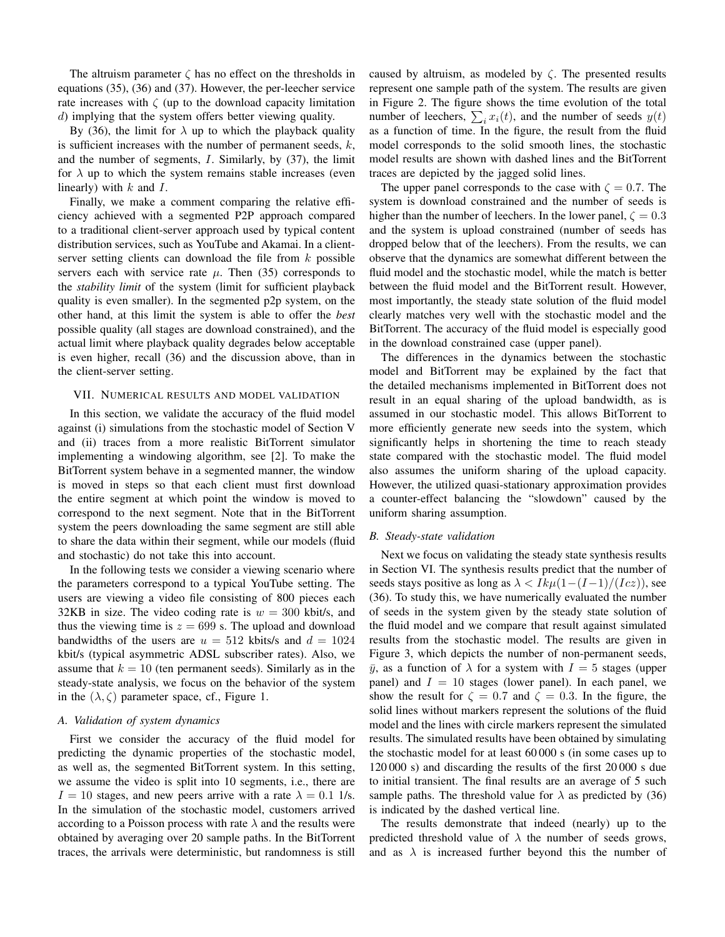The altruism parameter *ζ* has no effect on the thresholds in equations (35), (36) and (37). However, the per-leecher service rate increases with *ζ* (up to the download capacity limitation *d*) implying that the system offers better viewing quality.

By (36), the limit for  $\lambda$  up to which the playback quality is sufficient increases with the number of permanent seeds, *k*, and the number of segments, *I*. Similarly, by (37), the limit for  $\lambda$  up to which the system remains stable increases (even linearly) with *k* and *I*.

Finally, we make a comment comparing the relative efficiency achieved with a segmented P2P approach compared to a traditional client-server approach used by typical content distribution services, such as YouTube and Akamai. In a clientserver setting clients can download the file from *k* possible servers each with service rate  $\mu$ . Then (35) corresponds to the *stability limit* of the system (limit for sufficient playback quality is even smaller). In the segmented p2p system, on the other hand, at this limit the system is able to offer the *best* possible quality (all stages are download constrained), and the actual limit where playback quality degrades below acceptable is even higher, recall (36) and the discussion above, than in the client-server setting.

## VII. NUMERICAL RESULTS AND MODEL VALIDATION

In this section, we validate the accuracy of the fluid model against (i) simulations from the stochastic model of Section V and (ii) traces from a more realistic BitTorrent simulator implementing a windowing algorithm, see [2]. To make the BitTorrent system behave in a segmented manner, the window is moved in steps so that each client must first download the entire segment at which point the window is moved to correspond to the next segment. Note that in the BitTorrent system the peers downloading the same segment are still able to share the data within their segment, while our models (fluid and stochastic) do not take this into account.

In the following tests we consider a viewing scenario where the parameters correspond to a typical YouTube setting. The users are viewing a video file consisting of 800 pieces each 32KB in size. The video coding rate is  $w = 300$  kbit/s, and thus the viewing time is  $z = 699$  s. The upload and download bandwidths of the users are  $u = 512$  kbits/s and  $d = 1024$ kbit/s (typical asymmetric ADSL subscriber rates). Also, we assume that  $k = 10$  (ten permanent seeds). Similarly as in the steady-state analysis, we focus on the behavior of the system in the  $(\lambda, \zeta)$  parameter space, cf., Figure 1.

## *A. Validation of system dynamics*

First we consider the accuracy of the fluid model for predicting the dynamic properties of the stochastic model, as well as, the segmented BitTorrent system. In this setting, we assume the video is split into 10 segments, i.e., there are  $I = 10$  stages, and new peers arrive with a rate  $\lambda = 0.1$  1/s. In the simulation of the stochastic model, customers arrived according to a Poisson process with rate  $\lambda$  and the results were obtained by averaging over 20 sample paths. In the BitTorrent traces, the arrivals were deterministic, but randomness is still

caused by altruism, as modeled by *ζ*. The presented results represent one sample path of the system. The results are given in Figure 2. The figure shows the time evolution of the total number of leechers,  $\sum_i x_i(t)$ , and the number of seeds  $y(t)$ as a function of time. In the figure, the result from the fluid model corresponds to the solid smooth lines, the stochastic model results are shown with dashed lines and the BitTorrent traces are depicted by the jagged solid lines.

The upper panel corresponds to the case with  $\zeta = 0.7$ . The system is download constrained and the number of seeds is higher than the number of leechers. In the lower panel,  $\zeta = 0.3$ and the system is upload constrained (number of seeds has dropped below that of the leechers). From the results, we can observe that the dynamics are somewhat different between the fluid model and the stochastic model, while the match is better between the fluid model and the BitTorrent result. However, most importantly, the steady state solution of the fluid model clearly matches very well with the stochastic model and the BitTorrent. The accuracy of the fluid model is especially good in the download constrained case (upper panel).

The differences in the dynamics between the stochastic model and BitTorrent may be explained by the fact that the detailed mechanisms implemented in BitTorrent does not result in an equal sharing of the upload bandwidth, as is assumed in our stochastic model. This allows BitTorrent to more efficiently generate new seeds into the system, which significantly helps in shortening the time to reach steady state compared with the stochastic model. The fluid model also assumes the uniform sharing of the upload capacity. However, the utilized quasi-stationary approximation provides a counter-effect balancing the "slowdown" caused by the uniform sharing assumption.

#### *B. Steady-state validation*

Next we focus on validating the steady state synthesis results in Section VI. The synthesis results predict that the number of seeds stays positive as long as  $\lambda < I k \mu (1-(I-1)/(Icz))$ , see (36). To study this, we have numerically evaluated the number of seeds in the system given by the steady state solution of the fluid model and we compare that result against simulated results from the stochastic model. The results are given in Figure 3, which depicts the number of non-permanent seeds,  $\bar{y}$ , as a function of  $\lambda$  for a system with  $I = 5$  stages (upper panel) and  $I = 10$  stages (lower panel). In each panel, we show the result for  $\zeta = 0.7$  and  $\zeta = 0.3$ . In the figure, the solid lines without markers represent the solutions of the fluid model and the lines with circle markers represent the simulated results. The simulated results have been obtained by simulating the stochastic model for at least 60 000 s (in some cases up to 120 000 s) and discarding the results of the first 20 000 s due to initial transient. The final results are an average of 5 such sample paths. The threshold value for  $\lambda$  as predicted by (36) is indicated by the dashed vertical line.

The results demonstrate that indeed (nearly) up to the predicted threshold value of  $\lambda$  the number of seeds grows, and as  $\lambda$  is increased further beyond this the number of